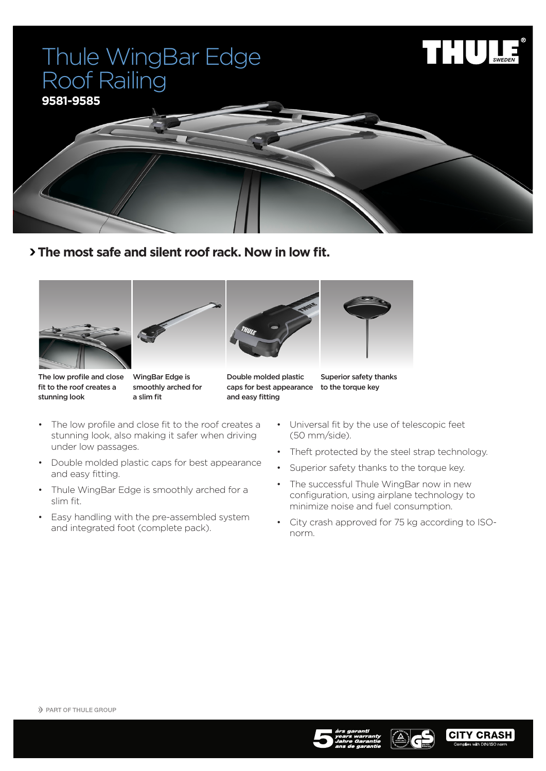## Thule WingBar Edge Roof Railing





 **The most safe and silent roof rack. Now in low fit.**









The low profile and close fit to the roof creates a stunning look

WingBar Edge is smoothly arched for a slim fit

Double molded plastic caps for best appearance to the torque key and easy fitting

Superior safety thanks

- • Universal fit by the use of telescopic feet (50 mm/side).
- Theft protected by the steel strap technology.
- Superior safety thanks to the torque key.
- The successful Thule WingBar now in new configuration, using airplane technology to minimize noise and fuel consumption.
- • City crash approved for 75 kg according to ISOnorm.

under low passages.

and easy fitting.

slim fit.

• The low profile and close fit to the roof creates a stunning look, also making it safer when driving

• Double molded plastic caps for best appearance

• Thule WingBar Edge is smoothly arched for a

• Easy handling with the pre-assembled system and integrated foot (complete pack).